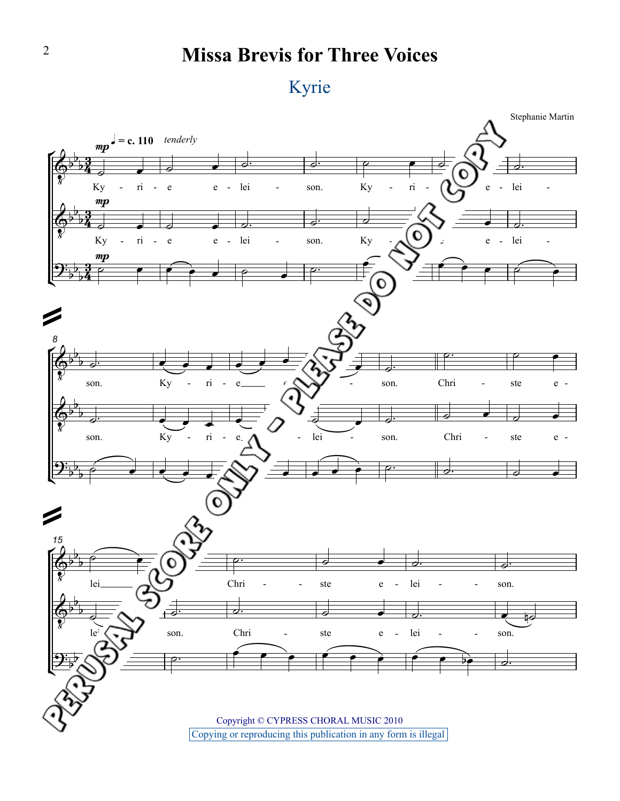## **Missa Brevis for Three Voices**



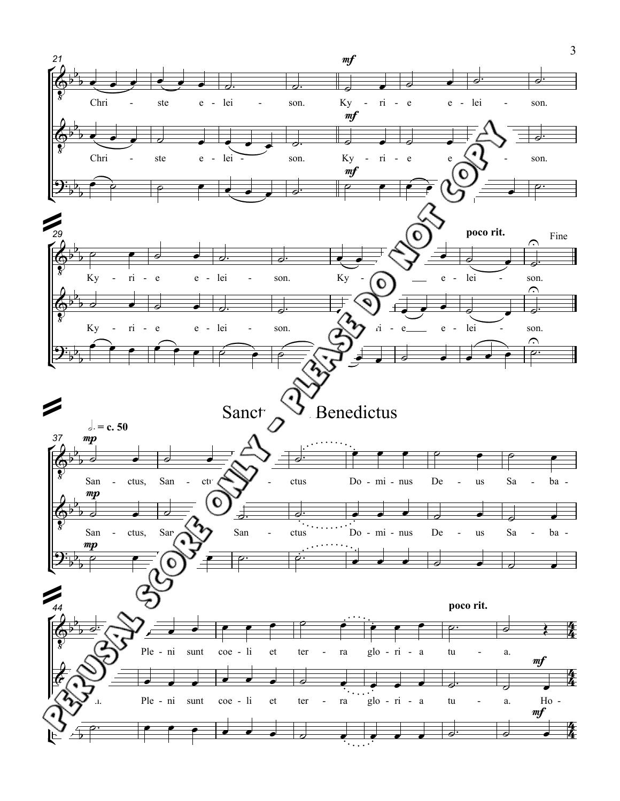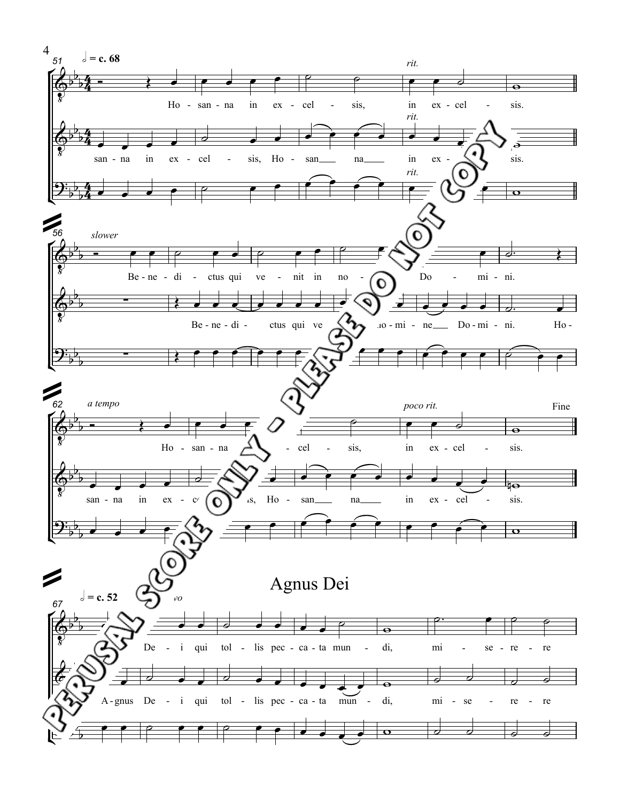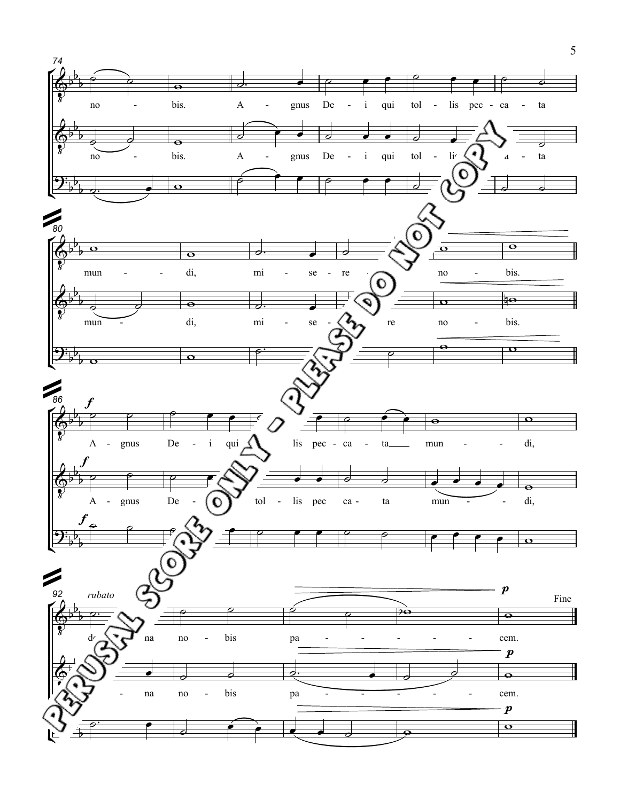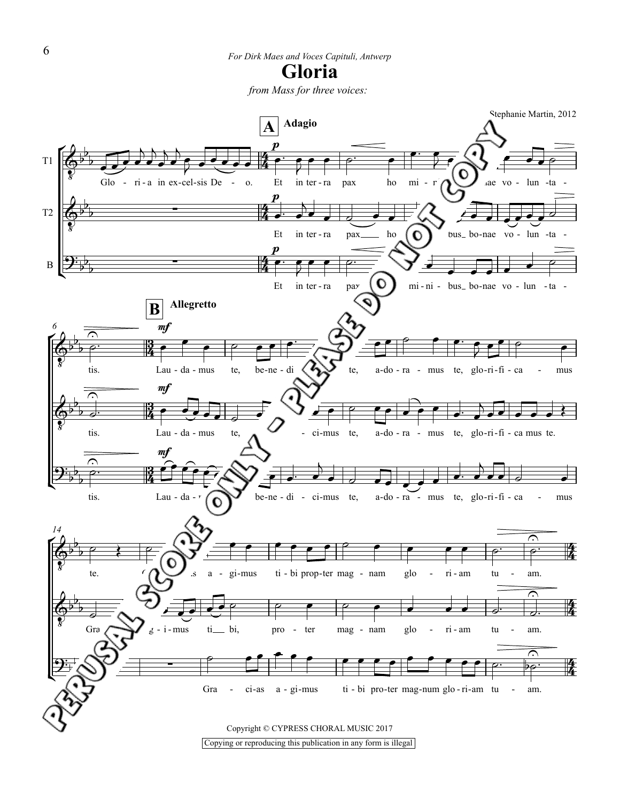*from Mass for three voices:*

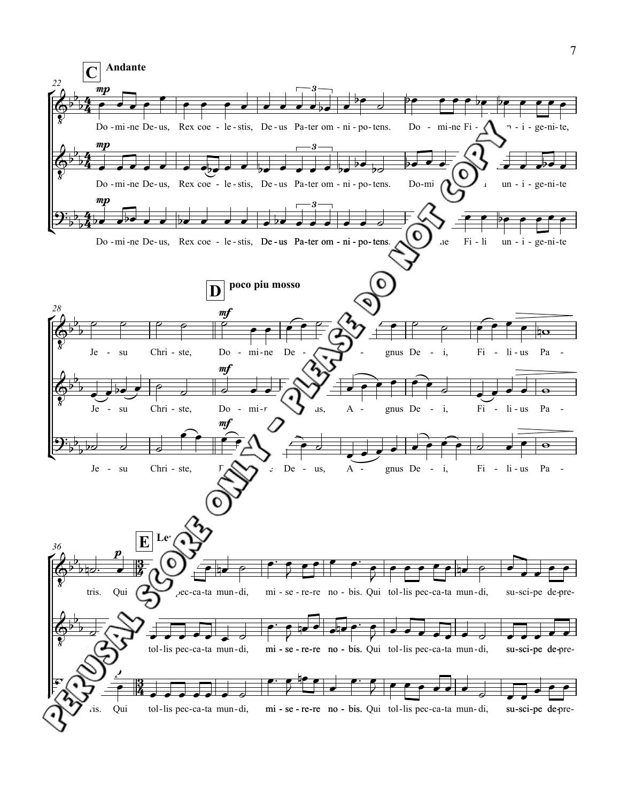